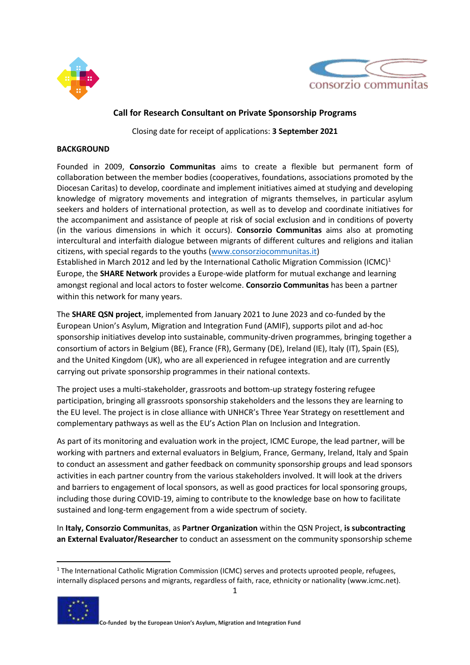



# **Call for Research Consultant on Private Sponsorship Programs**

Closing date for receipt of applications: **3 September 2021**

#### **BACKGROUND**

Founded in 2009, **Consorzio Communitas** aims to create a flexible but permanent form of collaboration between the member bodies (cooperatives, foundations, associations promoted by the Diocesan Caritas) to develop, coordinate and implement initiatives aimed at studying and developing knowledge of migratory movements and integration of migrants themselves, in particular asylum seekers and holders of international protection, as well as to develop and coordinate initiatives for the accompaniment and assistance of people at risk of social exclusion and in conditions of poverty (in the various dimensions in which it occurs). **Consorzio Communitas** aims also at promoting intercultural and interfaith dialogue between migrants of different cultures and religions and italian citizens, with special regards to the youths [\(www.consorziocommunitas.it\)](http://www.consorziocommunitas.it/)

Established in March 2012 and led by the International Catholic Migration Commission (ICMC)<sup>1</sup> Europe, the **SHARE Network** provides a Europe-wide platform for mutual exchange and learning amongst regional and local actors to foster welcome. **Consorzio Communitas** has been a partner within this network for many years.

The **SHARE QSN project**, implemented from January 2021 to June 2023 and co-funded by the European Union's Asylum, Migration and Integration Fund (AMIF), supports pilot and ad-hoc sponsorship initiatives develop into sustainable, community-driven programmes, bringing together a consortium of actors in Belgium (BE), France (FR), Germany (DE), Ireland (IE), Italy (IT), Spain (ES), and the United Kingdom (UK), who are all experienced in refugee integration and are currently carrying out private sponsorship programmes in their national contexts.

The project uses a multi-stakeholder, grassroots and bottom-up strategy fostering refugee participation, bringing all grassroots sponsorship stakeholders and the lessons they are learning to the EU level. The project is in close alliance with UNHCR's Three Year Strategy on resettlement and complementary pathways as well as the EU's Action Plan on Inclusion and Integration.

As part of its monitoring and evaluation work in the project, ICMC Europe, the lead partner, will be working with partners and external evaluators in Belgium, France, Germany, Ireland, Italy and Spain to conduct an assessment and gather feedback on community sponsorship groups and lead sponsors activities in each partner country from the various stakeholders involved. It will look at the drivers and barriers to engagement of local sponsors, as well as good practices for local sponsoring groups, including those during COVID-19, aiming to contribute to the knowledge base on how to facilitate sustained and long-term engagement from a wide spectrum of society.

In **Italy, Consorzio Communitas**, as **Partner Organization** within the QSN Project, **is subcontracting an External Evaluator/Researcher** to conduct an assessment on the community sponsorship scheme

<sup>&</sup>lt;sup>1</sup> The International Catholic Migration Commission (ICMC) serves and protects uprooted people, refugees, internally displaced persons and migrants, regardless of faith, race, ethnicity or nationality (www.icmc.net).



1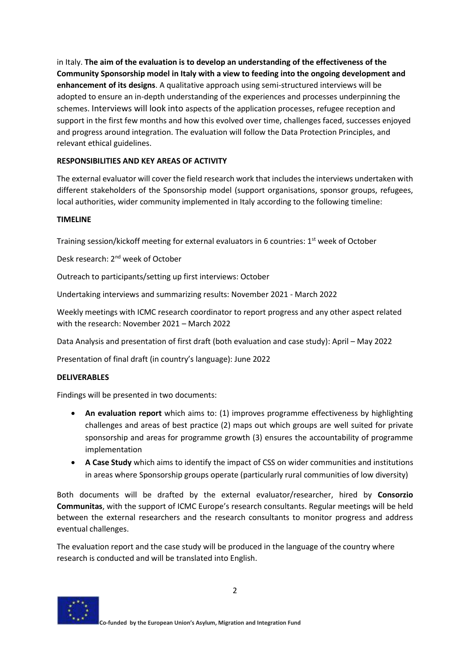in Italy. **The aim of the evaluation is to develop an understanding of the effectiveness of the Community Sponsorship model in Italy with a view to feeding into the ongoing development and enhancement of its designs**. A qualitative approach using semi-structured interviews will be adopted to ensure an in-depth understanding of the experiences and processes underpinning the schemes. Interviews will look into aspects of the application processes, refugee reception and support in the first few months and how this evolved over time, challenges faced, successes enjoyed and progress around integration. The evaluation will follow the Data Protection Principles, and relevant ethical guidelines.

## **RESPONSIBILITIES AND KEY AREAS OF ACTIVITY**

The external evaluator will cover the field research work that includes the interviews undertaken with different stakeholders of the Sponsorship model (support organisations, sponsor groups, refugees, local authorities, wider community implemented in Italy according to the following timeline:

## **TIMELINE**

Training session/kickoff meeting for external evaluators in 6 countries: 1<sup>st</sup> week of October

Desk research: 2nd week of October

Outreach to participants/setting up first interviews: October

Undertaking interviews and summarizing results: November 2021 - March 2022

Weekly meetings with ICMC research coordinator to report progress and any other aspect related with the research: November 2021 – March 2022

Data Analysis and presentation of first draft (both evaluation and case study): April – May 2022

Presentation of final draft (in country's language): June 2022

## **DELIVERABLES**

Findings will be presented in two documents:

- **An evaluation report** which aims to: (1) improves programme effectiveness by highlighting challenges and areas of best practice (2) maps out which groups are well suited for private sponsorship and areas for programme growth (3) ensures the accountability of programme implementation
- **A Case Study** which aims to identify the impact of CSS on wider communities and institutions in areas where Sponsorship groups operate (particularly rural communities of low diversity)

Both documents will be drafted by the external evaluator/researcher, hired by **Consorzio Communitas**, with the support of ICMC Europe's research consultants. Regular meetings will be held between the external researchers and the research consultants to monitor progress and address eventual challenges.

The evaluation report and the case study will be produced in the language of the country where research is conducted and will be translated into English.

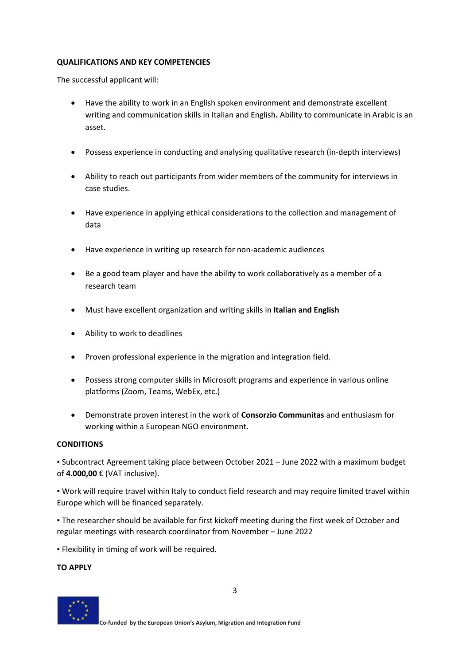#### **QUALIFICATIONS AND KEY COMPETENCIES**

The successful applicant will:

- Have the ability to work in an English spoken environment and demonstrate excellent writing and communication skills in Italian and English**.** Ability to communicate in Arabic is an asset.
- Possess experience in conducting and analysing qualitative research (in-depth interviews)
- Ability to reach out participants from wider members of the community for interviews in case studies.
- Have experience in applying ethical considerations to the collection and management of data
- Have experience in writing up research for non-academic audiences
- Be a good team player and have the ability to work collaboratively as a member of a research team
- Must have excellent organization and writing skills in **Italian and English**
- Ability to work to deadlines
- Proven professional experience in the migration and integration field.
- Possess strong computer skills in Microsoft programs and experience in various online platforms (Zoom, Teams, WebEx, etc.)
- Demonstrate proven interest in the work of **Consorzio Communitas** and enthusiasm for working within a European NGO environment.

## **CONDITIONS**

▪ Subcontract Agreement taking place between October 2021 – June 2022 with a maximum budget of **4.000,00** € (VAT inclusive).

▪ Work will require travel within Italy to conduct field research and may require limited travel within Europe which will be financed separately.

▪ The researcher should be available for first kickoff meeting during the first week of October and regular meetings with research coordinator from November – June 2022

**• Flexibility in timing of work will be required.** 

**TO APPLY**